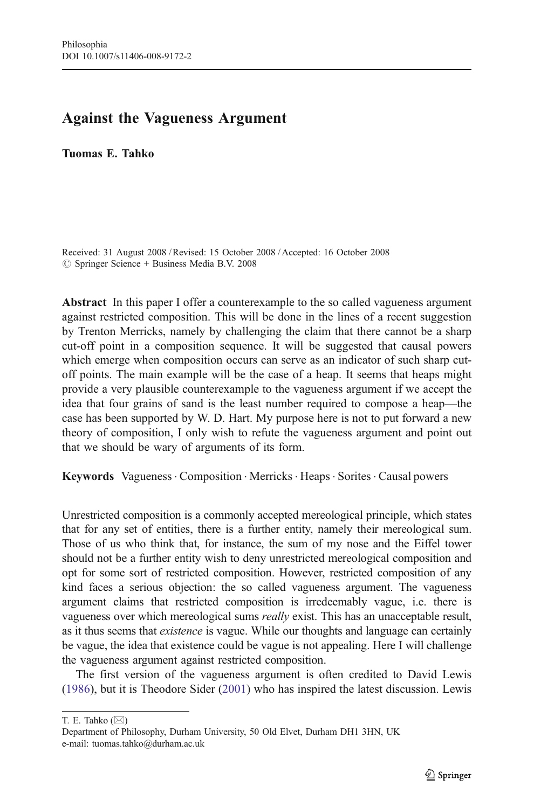## Against the Vagueness Argument

Tuomas E. Tahko

Received: 31 August 2008 /Revised: 15 October 2008 / Accepted: 16 October 2008  $\oslash$  Springer Science + Business Media B.V. 2008

Abstract In this paper I offer a counterexample to the so called vagueness argument against restricted composition. This will be done in the lines of a recent suggestion by Trenton Merricks, namely by challenging the claim that there cannot be a sharp cut-off point in a composition sequence. It will be suggested that causal powers which emerge when composition occurs can serve as an indicator of such sharp cutoff points. The main example will be the case of a heap. It seems that heaps might provide a very plausible counterexample to the vagueness argument if we accept the idea that four grains of sand is the least number required to compose a heap—the case has been supported by W. D. Hart. My purpose here is not to put forward a new theory of composition, I only wish to refute the vagueness argument and point out that we should be wary of arguments of its form.

Keywords Vagueness Composition · Merricks · Heaps · Sorites · Causal powers

Unrestricted composition is a commonly accepted mereological principle, which states that for any set of entities, there is a further entity, namely their mereological sum. Those of us who think that, for instance, the sum of my nose and the Eiffel tower should not be a further entity wish to deny unrestricted mereological composition and opt for some sort of restricted composition. However, restricted composition of any kind faces a serious objection: the so called vagueness argument. The vagueness argument claims that restricted composition is irredeemably vague, i.e. there is vagueness over which mereological sums really exist. This has an unacceptable result, as it thus seems that existence is vague. While our thoughts and language can certainly be vague, the idea that existence could be vague is not appealing. Here I will challenge the vagueness argument against restricted composition.

The first version of the vagueness argument is often credited to David Lewis [\(1986](#page-5-0)), but it is Theodore Sider [\(2001](#page-5-0)) who has inspired the latest discussion. Lewis

T. E. Tahko (*\**)

Department of Philosophy, Durham University, 50 Old Elvet, Durham DH1 3HN, UK e-mail: tuomas.tahko@durham.ac.uk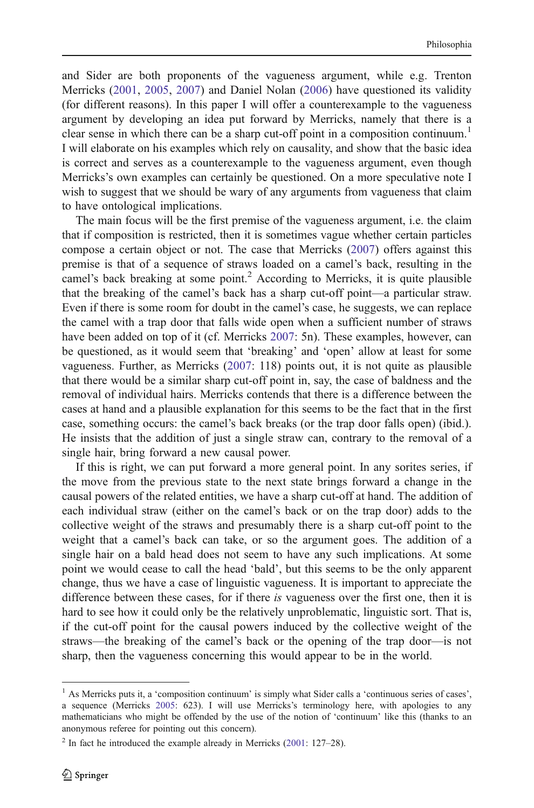and Sider are both proponents of the vagueness argument, while e.g. Trenton Merricks [\(2001](#page-5-0), [2005](#page-5-0), [2007](#page-5-0)) and Daniel Nolan [\(2006](#page-5-0)) have questioned its validity (for different reasons). In this paper I will offer a counterexample to the vagueness argument by developing an idea put forward by Merricks, namely that there is a clear sense in which there can be a sharp cut-off point in a composition continuum.<sup>1</sup> I will elaborate on his examples which rely on causality, and show that the basic idea is correct and serves as a counterexample to the vagueness argument, even though Merricks's own examples can certainly be questioned. On a more speculative note I wish to suggest that we should be wary of any arguments from vagueness that claim to have ontological implications.

The main focus will be the first premise of the vagueness argument, i.e. the claim that if composition is restricted, then it is sometimes vague whether certain particles compose a certain object or not. The case that Merricks ([2007\)](#page-5-0) offers against this premise is that of a sequence of straws loaded on a camel's back, resulting in the camel's back breaking at some point.<sup>2</sup> According to Merricks, it is quite plausible that the breaking of the camel's back has a sharp cut-off point—a particular straw. Even if there is some room for doubt in the camel's case, he suggests, we can replace the camel with a trap door that falls wide open when a sufficient number of straws have been added on top of it (cf. Merricks [2007](#page-5-0): 5n). These examples, however, can be questioned, as it would seem that 'breaking' and 'open' allow at least for some vagueness. Further, as Merricks [\(2007](#page-5-0): 118) points out, it is not quite as plausible that there would be a similar sharp cut-off point in, say, the case of baldness and the removal of individual hairs. Merricks contends that there is a difference between the cases at hand and a plausible explanation for this seems to be the fact that in the first case, something occurs: the camel's back breaks (or the trap door falls open) (ibid.). He insists that the addition of just a single straw can, contrary to the removal of a single hair, bring forward a new causal power.

If this is right, we can put forward a more general point. In any sorites series, if the move from the previous state to the next state brings forward a change in the causal powers of the related entities, we have a sharp cut-off at hand. The addition of each individual straw (either on the camel's back or on the trap door) adds to the collective weight of the straws and presumably there is a sharp cut-off point to the weight that a camel's back can take, or so the argument goes. The addition of a single hair on a bald head does not seem to have any such implications. At some point we would cease to call the head 'bald', but this seems to be the only apparent change, thus we have a case of linguistic vagueness. It is important to appreciate the difference between these cases, for if there is vagueness over the first one, then it is hard to see how it could only be the relatively unproblematic, linguistic sort. That is, if the cut-off point for the causal powers induced by the collective weight of the straws—the breaking of the camel's back or the opening of the trap door—is not sharp, then the vagueness concerning this would appear to be in the world.

<sup>&</sup>lt;sup>1</sup> As Merricks puts it, a 'composition continuum' is simply what Sider calls a 'continuous series of cases', a sequence (Merricks [2005](#page-5-0): 623). I will use Merricks's terminology here, with apologies to any mathematicians who might be offended by the use of the notion of 'continuum' like this (thanks to an anonymous referee for pointing out this concern).

 $2 \text{ In fact he introduced the example already in Merricks (2001: 127–28).}$  $2 \text{ In fact he introduced the example already in Merricks (2001: 127–28).}$  $2 \text{ In fact he introduced the example already in Merricks (2001: 127–28).}$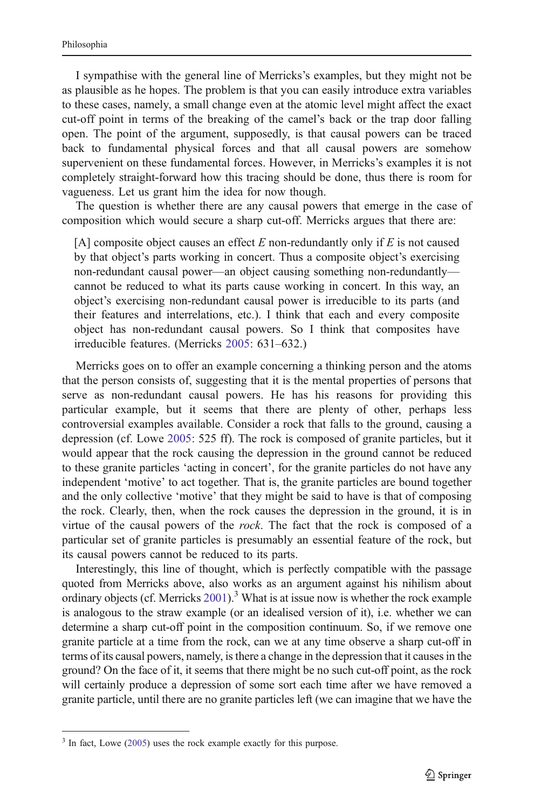I sympathise with the general line of Merricks's examples, but they might not be as plausible as he hopes. The problem is that you can easily introduce extra variables to these cases, namely, a small change even at the atomic level might affect the exact cut-off point in terms of the breaking of the camel's back or the trap door falling open. The point of the argument, supposedly, is that causal powers can be traced back to fundamental physical forces and that all causal powers are somehow supervenient on these fundamental forces. However, in Merricks's examples it is not completely straight-forward how this tracing should be done, thus there is room for vagueness. Let us grant him the idea for now though.

The question is whether there are any causal powers that emerge in the case of composition which would secure a sharp cut-off. Merricks argues that there are:

[A] composite object causes an effect  $E$  non-redundantly only if  $E$  is not caused by that object's parts working in concert. Thus a composite object's exercising non-redundant causal power—an object causing something non-redundantly cannot be reduced to what its parts cause working in concert. In this way, an object's exercising non-redundant causal power is irreducible to its parts (and their features and interrelations, etc.). I think that each and every composite object has non-redundant causal powers. So I think that composites have irreducible features. (Merricks [2005:](#page-5-0) 631–632.)

Merricks goes on to offer an example concerning a thinking person and the atoms that the person consists of, suggesting that it is the mental properties of persons that serve as non-redundant causal powers. He has his reasons for providing this particular example, but it seems that there are plenty of other, perhaps less controversial examples available. Consider a rock that falls to the ground, causing a depression (cf. Lowe [2005:](#page-5-0) 525 ff). The rock is composed of granite particles, but it would appear that the rock causing the depression in the ground cannot be reduced to these granite particles 'acting in concert', for the granite particles do not have any independent 'motive' to act together. That is, the granite particles are bound together and the only collective 'motive' that they might be said to have is that of composing the rock. Clearly, then, when the rock causes the depression in the ground, it is in virtue of the causal powers of the rock. The fact that the rock is composed of a particular set of granite particles is presumably an essential feature of the rock, but its causal powers cannot be reduced to its parts.

Interestingly, this line of thought, which is perfectly compatible with the passage quoted from Merricks above, also works as an argument against his nihilism about ordinary objects (cf. Merricks  $2001$ ).<sup>3</sup> What is at issue now is whether the rock example is analogous to the straw example (or an idealised version of it), i.e. whether we can determine a sharp cut-off point in the composition continuum. So, if we remove one granite particle at a time from the rock, can we at any time observe a sharp cut-off in terms of its causal powers, namely, is there a change in the depression that it causes in the ground? On the face of it, it seems that there might be no such cut-off point, as the rock will certainly produce a depression of some sort each time after we have removed a granite particle, until there are no granite particles left (we can imagine that we have the

 $3$  In fact, Lowe ([2005\)](#page-5-0) uses the rock example exactly for this purpose.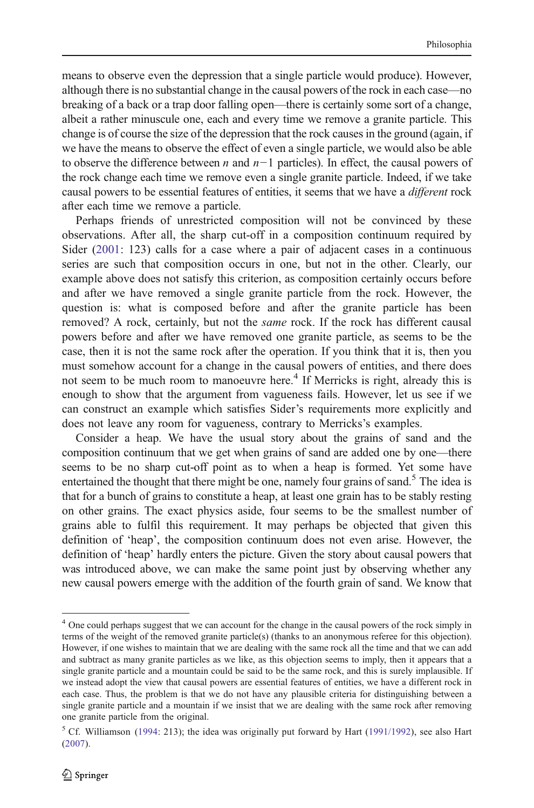means to observe even the depression that a single particle would produce). However, although there is no substantial change in the causal powers of the rock in each case—no breaking of a back or a trap door falling open—there is certainly some sort of a change, albeit a rather minuscule one, each and every time we remove a granite particle. This change is of course the size of the depression that the rock causes in the ground (again, if we have the means to observe the effect of even a single particle, we would also be able to observe the difference between n and n*−*1 particles). In effect, the causal powers of the rock change each time we remove even a single granite particle. Indeed, if we take causal powers to be essential features of entities, it seems that we have a different rock after each time we remove a particle.

Perhaps friends of unrestricted composition will not be convinced by these observations. After all, the sharp cut-off in a composition continuum required by Sider [\(2001](#page-5-0): 123) calls for a case where a pair of adjacent cases in a continuous series are such that composition occurs in one, but not in the other. Clearly, our example above does not satisfy this criterion, as composition certainly occurs before and after we have removed a single granite particle from the rock. However, the question is: what is composed before and after the granite particle has been removed? A rock, certainly, but not the *same* rock. If the rock has different causal powers before and after we have removed one granite particle, as seems to be the case, then it is not the same rock after the operation. If you think that it is, then you must somehow account for a change in the causal powers of entities, and there does not seem to be much room to manoeuvre here.<sup>4</sup> If Merricks is right, already this is enough to show that the argument from vagueness fails. However, let us see if we can construct an example which satisfies Sider's requirements more explicitly and does not leave any room for vagueness, contrary to Merricks's examples.

Consider a heap. We have the usual story about the grains of sand and the composition continuum that we get when grains of sand are added one by one—there seems to be no sharp cut-off point as to when a heap is formed. Yet some have entertained the thought that there might be one, namely four grains of sand.<sup>5</sup> The idea is that for a bunch of grains to constitute a heap, at least one grain has to be stably resting on other grains. The exact physics aside, four seems to be the smallest number of grains able to fulfil this requirement. It may perhaps be objected that given this definition of 'heap', the composition continuum does not even arise. However, the definition of 'heap' hardly enters the picture. Given the story about causal powers that was introduced above, we can make the same point just by observing whether any new causal powers emerge with the addition of the fourth grain of sand. We know that

<sup>&</sup>lt;sup>4</sup> One could perhaps suggest that we can account for the change in the causal powers of the rock simply in terms of the weight of the removed granite particle(s) (thanks to an anonymous referee for this objection). However, if one wishes to maintain that we are dealing with the same rock all the time and that we can add and subtract as many granite particles as we like, as this objection seems to imply, then it appears that a single granite particle and a mountain could be said to be the same rock, and this is surely implausible. If we instead adopt the view that causal powers are essential features of entities, we have a different rock in each case. Thus, the problem is that we do not have any plausible criteria for distinguishing between a single granite particle and a mountain if we insist that we are dealing with the same rock after removing one granite particle from the original.

<sup>&</sup>lt;sup>5</sup> Cf. Williamson ([1994:](#page-5-0) 213); the idea was originally put forward by Hart [\(1991/1992](#page-5-0)), see also Hart ([2007\)](#page-5-0).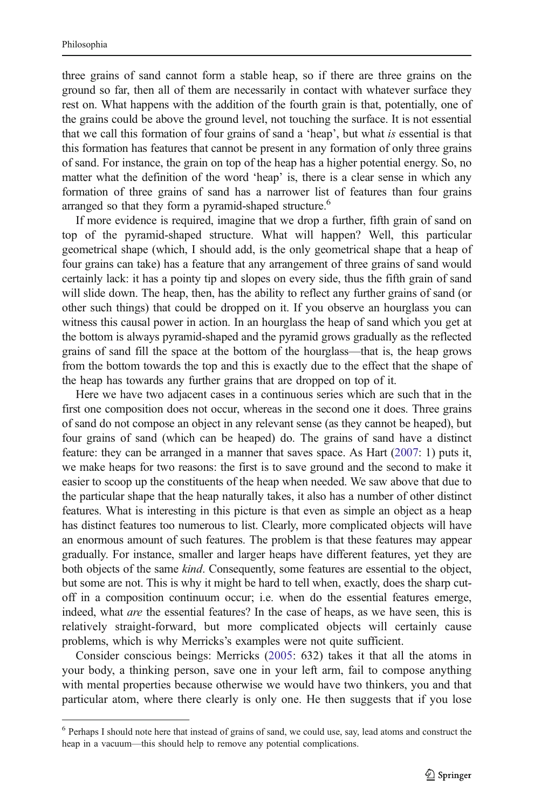three grains of sand cannot form a stable heap, so if there are three grains on the ground so far, then all of them are necessarily in contact with whatever surface they rest on. What happens with the addition of the fourth grain is that, potentially, one of the grains could be above the ground level, not touching the surface. It is not essential that we call this formation of four grains of sand a 'heap', but what is essential is that this formation has features that cannot be present in any formation of only three grains of sand. For instance, the grain on top of the heap has a higher potential energy. So, no matter what the definition of the word 'heap' is, there is a clear sense in which any formation of three grains of sand has a narrower list of features than four grains arranged so that they form a pyramid-shaped structure.<sup>6</sup>

If more evidence is required, imagine that we drop a further, fifth grain of sand on top of the pyramid-shaped structure. What will happen? Well, this particular geometrical shape (which, I should add, is the only geometrical shape that a heap of four grains can take) has a feature that any arrangement of three grains of sand would certainly lack: it has a pointy tip and slopes on every side, thus the fifth grain of sand will slide down. The heap, then, has the ability to reflect any further grains of sand (or other such things) that could be dropped on it. If you observe an hourglass you can witness this causal power in action. In an hourglass the heap of sand which you get at the bottom is always pyramid-shaped and the pyramid grows gradually as the reflected grains of sand fill the space at the bottom of the hourglass—that is, the heap grows from the bottom towards the top and this is exactly due to the effect that the shape of the heap has towards any further grains that are dropped on top of it.

Here we have two adjacent cases in a continuous series which are such that in the first one composition does not occur, whereas in the second one it does. Three grains of sand do not compose an object in any relevant sense (as they cannot be heaped), but four grains of sand (which can be heaped) do. The grains of sand have a distinct feature: they can be arranged in a manner that saves space. As Hart ([2007](#page-5-0): 1) puts it, we make heaps for two reasons: the first is to save ground and the second to make it easier to scoop up the constituents of the heap when needed. We saw above that due to the particular shape that the heap naturally takes, it also has a number of other distinct features. What is interesting in this picture is that even as simple an object as a heap has distinct features too numerous to list. Clearly, more complicated objects will have an enormous amount of such features. The problem is that these features may appear gradually. For instance, smaller and larger heaps have different features, yet they are both objects of the same *kind*. Consequently, some features are essential to the object, but some are not. This is why it might be hard to tell when, exactly, does the sharp cutoff in a composition continuum occur; i.e. when do the essential features emerge, indeed, what are the essential features? In the case of heaps, as we have seen, this is relatively straight-forward, but more complicated objects will certainly cause problems, which is why Merricks's examples were not quite sufficient.

Consider conscious beings: Merricks [\(2005](#page-5-0): 632) takes it that all the atoms in your body, a thinking person, save one in your left arm, fail to compose anything with mental properties because otherwise we would have two thinkers, you and that particular atom, where there clearly is only one. He then suggests that if you lose

<sup>&</sup>lt;sup>6</sup> Perhaps I should note here that instead of grains of sand, we could use, say, lead atoms and construct the heap in a vacuum—this should help to remove any potential complications.